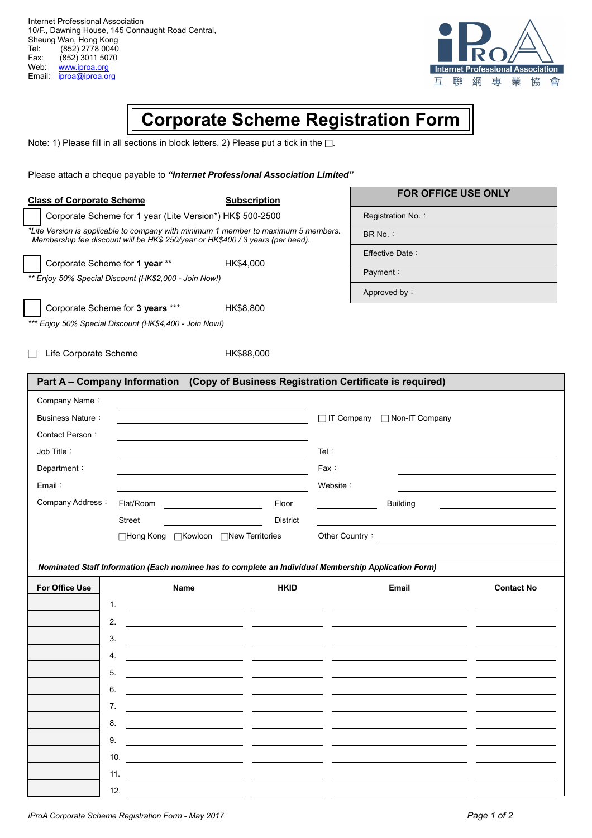Internet Professional Association 10/F., Dawning House, 145 Connaught Road Central, Sheung Wan, Hong Kong<br>Tel: (852) 2778 0040 Tel: (852) 2778 0040<br>Fax: (852) 3011 5070 Fax: (852) 3011 5070<br>Web: www.iproa.org Web: www.iproa.org<br>Email: iproa@iproa.or iproa@iproa.org



## **Corporate Scheme Registration Form**

Note: 1) Please fill in all sections in block letters. 2) Please put a tick in the  $\square$ .

| Please attach a cheque payable to "Internet Professional Association Limited"                                                                                                                                                     |                     |                   |                     |                   |  |
|-----------------------------------------------------------------------------------------------------------------------------------------------------------------------------------------------------------------------------------|---------------------|-------------------|---------------------|-------------------|--|
| <b>Class of Corporate Scheme</b>                                                                                                                                                                                                  | <b>Subscription</b> |                   | FOR OFFICE USE ONLY |                   |  |
| Corporate Scheme for 1 year (Lite Version*) HK\$ 500-2500<br>*Lite Version is applicable to company with minimum 1 member to maximum 5 members.<br>Membership fee discount will be HK\$ 250/year or HK\$400 / 3 years (per head). |                     |                   | Registration No.:   |                   |  |
|                                                                                                                                                                                                                                   |                     |                   | BR No.:             |                   |  |
|                                                                                                                                                                                                                                   |                     | Effective Date:   |                     |                   |  |
| Corporate Scheme for 1 year **                                                                                                                                                                                                    | HK\$4,000           |                   | Payment:            |                   |  |
| ** Enjoy 50% Special Discount (HK\$2,000 - Join Now!)                                                                                                                                                                             |                     |                   | Approved by:        |                   |  |
| Corporate Scheme for 3 years ***                                                                                                                                                                                                  | HK\$8,800           |                   |                     |                   |  |
| *** Enjoy 50% Special Discount (HK\$4,400 - Join Now!)                                                                                                                                                                            |                     |                   |                     |                   |  |
|                                                                                                                                                                                                                                   |                     |                   |                     |                   |  |
| Life Corporate Scheme                                                                                                                                                                                                             | HK\$88,000          |                   |                     |                   |  |
| Part A - Company Information (Copy of Business Registration Certificate is required)                                                                                                                                              |                     |                   |                     |                   |  |
| Company Name:                                                                                                                                                                                                                     |                     |                   |                     |                   |  |
| <b>Business Nature:</b>                                                                                                                                                                                                           |                     | $\Box$ IT Company | □ Non-IT Company    |                   |  |
| Contact Person:                                                                                                                                                                                                                   |                     |                   |                     |                   |  |
| Job Title:                                                                                                                                                                                                                        |                     | Tel:              |                     |                   |  |
| Department:                                                                                                                                                                                                                       |                     | Fax:              |                     |                   |  |
| Email:                                                                                                                                                                                                                            |                     | Website:          |                     |                   |  |
| Company Address:<br>Flat/Room                                                                                                                                                                                                     | Floor               |                   | <b>Building</b>     |                   |  |
| <b>Street</b>                                                                                                                                                                                                                     | <b>District</b>     |                   |                     |                   |  |
| □Hong Kong □Kowloon □New Territories                                                                                                                                                                                              |                     | Other Country:    |                     |                   |  |
|                                                                                                                                                                                                                                   |                     |                   |                     |                   |  |
| Nominated Staff Information (Each nominee has to complete an Individual Membership Application Form)                                                                                                                              |                     |                   |                     |                   |  |
| For Office Use<br><b>Name</b>                                                                                                                                                                                                     | <b>HKID</b>         |                   | Email               | <b>Contact No</b> |  |
| 1.                                                                                                                                                                                                                                |                     |                   |                     |                   |  |
| 2.                                                                                                                                                                                                                                |                     |                   |                     |                   |  |
| 3.                                                                                                                                                                                                                                |                     |                   |                     |                   |  |
| 4.                                                                                                                                                                                                                                |                     |                   |                     |                   |  |
| 5.                                                                                                                                                                                                                                |                     |                   |                     |                   |  |
| 6.                                                                                                                                                                                                                                |                     |                   |                     |                   |  |
| 7.                                                                                                                                                                                                                                |                     |                   |                     |                   |  |
| 8.                                                                                                                                                                                                                                |                     |                   |                     |                   |  |

8. 9. 10. 11. 12.